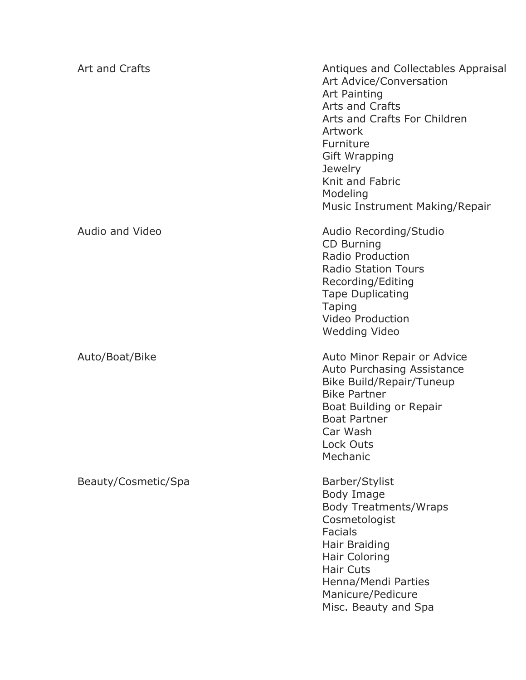| Art and Crafts         | Antiques and Collectables Appraisal<br>Art Advice/Conversation<br>Art Painting<br>Arts and Crafts<br>Arts and Crafts For Children<br>Artwork<br>Furniture<br><b>Gift Wrapping</b><br><b>Jewelry</b><br>Knit and Fabric<br>Modeling<br>Music Instrument Making/Repair |
|------------------------|----------------------------------------------------------------------------------------------------------------------------------------------------------------------------------------------------------------------------------------------------------------------|
| <b>Audio and Video</b> | Audio Recording/Studio<br>CD Burning<br>Radio Production<br><b>Radio Station Tours</b><br>Recording/Editing<br><b>Tape Duplicating</b><br><b>Taping</b><br><b>Video Production</b><br><b>Wedding Video</b>                                                           |
| Auto/Boat/Bike         | Auto Minor Repair or Advice<br>Auto Purchasing Assistance<br>Bike Build/Repair/Tuneup<br><b>Bike Partner</b><br>Boat Building or Repair<br><b>Boat Partner</b><br>Car Wash<br>Lock Outs<br>Mechanic                                                                  |
| Beauty/Cosmetic/Spa    | Barber/Stylist<br>Body Image<br><b>Body Treatments/Wraps</b><br>Cosmetologist<br><b>Facials</b><br>Hair Braiding<br><b>Hair Coloring</b><br><b>Hair Cuts</b><br>Henna/Mendi Parties<br>Manicure/Pedicure<br>Misc. Beauty and Spa                                     |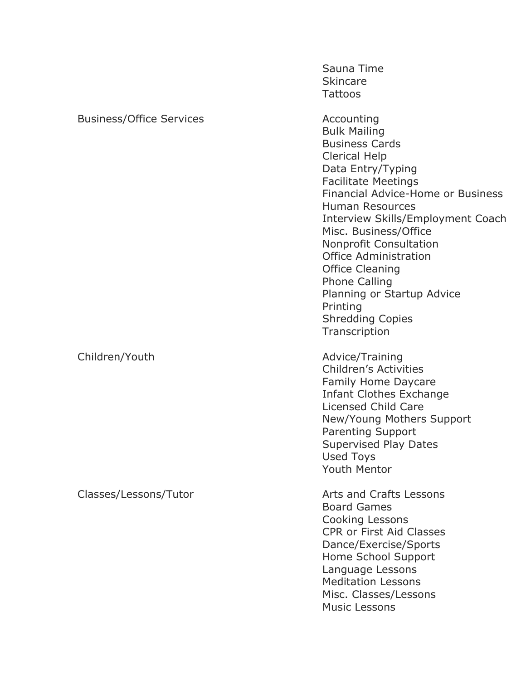|                                 | Sauna Time<br><b>Skincare</b><br><b>Tattoos</b>                                                                                                                                                                                                                                                                                                                                                                                                                             |
|---------------------------------|-----------------------------------------------------------------------------------------------------------------------------------------------------------------------------------------------------------------------------------------------------------------------------------------------------------------------------------------------------------------------------------------------------------------------------------------------------------------------------|
| <b>Business/Office Services</b> | Accounting<br><b>Bulk Mailing</b><br><b>Business Cards</b><br><b>Clerical Help</b><br>Data Entry/Typing<br><b>Facilitate Meetings</b><br>Financial Advice-Home or Business<br><b>Human Resources</b><br>Interview Skills/Employment Coach<br>Misc. Business/Office<br><b>Nonprofit Consultation</b><br><b>Office Administration</b><br><b>Office Cleaning</b><br><b>Phone Calling</b><br>Planning or Startup Advice<br>Printing<br><b>Shredding Copies</b><br>Transcription |
| Children/Youth                  | Advice/Training<br><b>Children's Activities</b><br>Family Home Daycare<br><b>Infant Clothes Exchange</b><br>Licensed Child Care<br>New/Young Mothers Support<br><b>Parenting Support</b><br><b>Supervised Play Dates</b><br>Used Toys<br><b>Youth Mentor</b>                                                                                                                                                                                                                |
| Classes/Lessons/Tutor           | Arts and Crafts Lessons<br><b>Board Games</b><br>Cooking Lessons<br><b>CPR or First Aid Classes</b><br>Dance/Exercise/Sports<br>Home School Support<br>Language Lessons<br><b>Meditation Lessons</b><br>Misc. Classes/Lessons<br><b>Music Lessons</b>                                                                                                                                                                                                                       |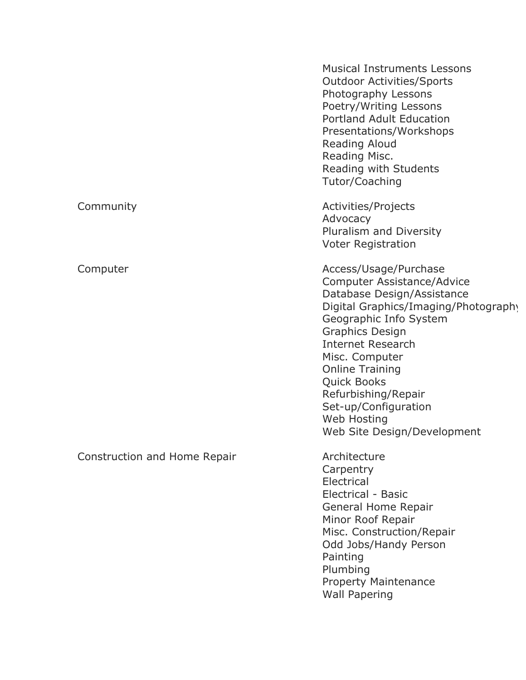| <b>Musical Instruments Lessons</b><br><b>Outdoor Activities/Sports</b><br>Photography Lessons<br>Poetry/Writing Lessons<br><b>Portland Adult Education</b><br>Presentations/Workshops<br>Reading Aloud<br>Reading Misc.<br>Reading with Students<br>Tutor/Coaching                                                                                                       |
|--------------------------------------------------------------------------------------------------------------------------------------------------------------------------------------------------------------------------------------------------------------------------------------------------------------------------------------------------------------------------|
| Activities/Projects<br>Advocacy<br>Pluralism and Diversity<br><b>Voter Registration</b>                                                                                                                                                                                                                                                                                  |
| Access/Usage/Purchase<br>Computer Assistance/Advice<br>Database Design/Assistance<br>Digital Graphics/Imaging/Photography<br>Geographic Info System<br><b>Graphics Design</b><br><b>Internet Research</b><br>Misc. Computer<br><b>Online Training</b><br><b>Quick Books</b><br>Refurbishing/Repair<br>Set-up/Configuration<br>Web Hosting<br>Web Site Design/Development |
| Architecture<br>Carpentry<br>Electrical<br>Electrical - Basic<br>General Home Repair<br>Minor Roof Repair<br>Misc. Construction/Repair<br>Odd Jobs/Handy Person<br>Painting<br>Plumbing<br><b>Property Maintenance</b><br><b>Wall Papering</b>                                                                                                                           |
|                                                                                                                                                                                                                                                                                                                                                                          |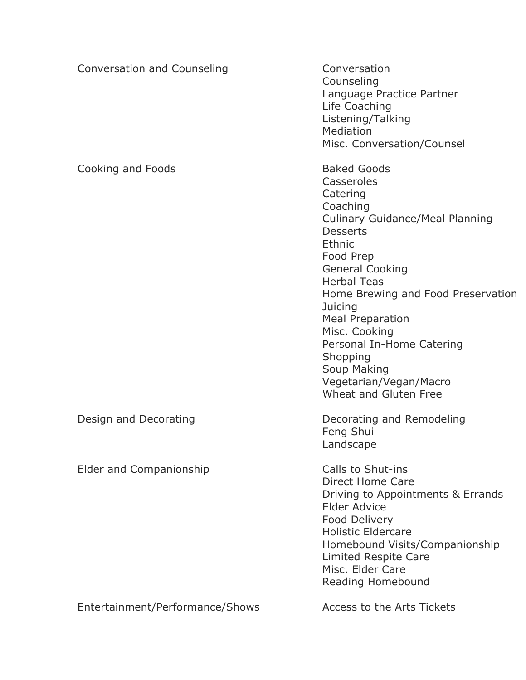| Conversation and Counseling     | Conversation<br>Counseling<br>Language Practice Partner<br>Life Coaching<br>Listening/Talking<br>Mediation<br>Misc. Conversation/Counsel                                                                                                                                                                                                                                                             |
|---------------------------------|------------------------------------------------------------------------------------------------------------------------------------------------------------------------------------------------------------------------------------------------------------------------------------------------------------------------------------------------------------------------------------------------------|
| Cooking and Foods               | <b>Baked Goods</b><br>Casseroles<br>Catering<br>Coaching<br><b>Culinary Guidance/Meal Planning</b><br><b>Desserts</b><br>Ethnic<br>Food Prep<br><b>General Cooking</b><br><b>Herbal Teas</b><br>Home Brewing and Food Preservation<br>Juicing<br><b>Meal Preparation</b><br>Misc. Cooking<br>Personal In-Home Catering<br>Shopping<br>Soup Making<br>Vegetarian/Vegan/Macro<br>Wheat and Gluten Free |
| Design and Decorating           | Decorating and Remodeling<br>Feng Shui<br>Landscape                                                                                                                                                                                                                                                                                                                                                  |
| Elder and Companionship         | Calls to Shut-ins<br>Direct Home Care<br>Driving to Appointments & Errands<br><b>Elder Advice</b><br>Food Delivery<br><b>Holistic Eldercare</b><br>Homebound Visits/Companionship<br><b>Limited Respite Care</b><br>Misc. Elder Care<br>Reading Homebound                                                                                                                                            |
| Entertainment/Performance/Shows | Access to the Arts Tickets                                                                                                                                                                                                                                                                                                                                                                           |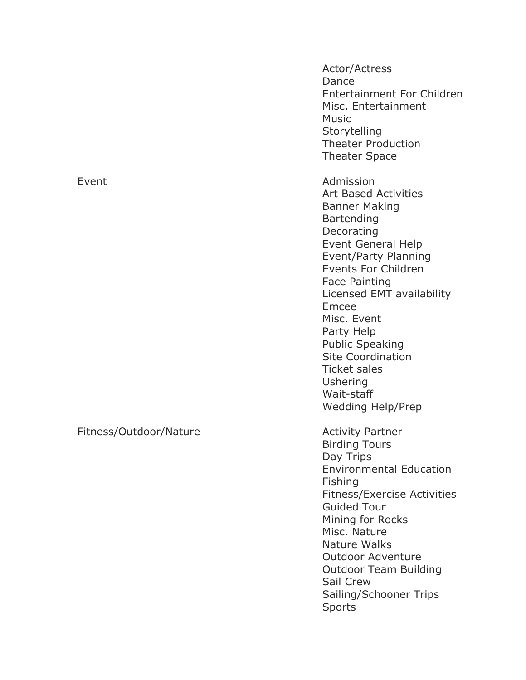Event **Admission** 

Fitness/Outdoor/Nature **Activity Partner** 

Actor/Actress Dance Entertainment For Children Misc. Entertainment Music **Storytelling** Theater Production Theater Space Art Based Activities Banner Making **Bartending Decorating** Event General Help Event/Party Planning Events For Children Face Painting Licensed EMT availability Emcee Misc. Event Party Help Public Speaking Site Coordination Ticket sales Ushering Wait -staff Wedding Help/Prep Birding Tours Day Trips Environmental Education Fishing

Fitness/Exercise Activities Guided Tour Mining for Rocks Misc. Nature Nature Walks Outdoor Adventure Outdoor Team Building Sail Crew

Sailing/Schooner Trips Sports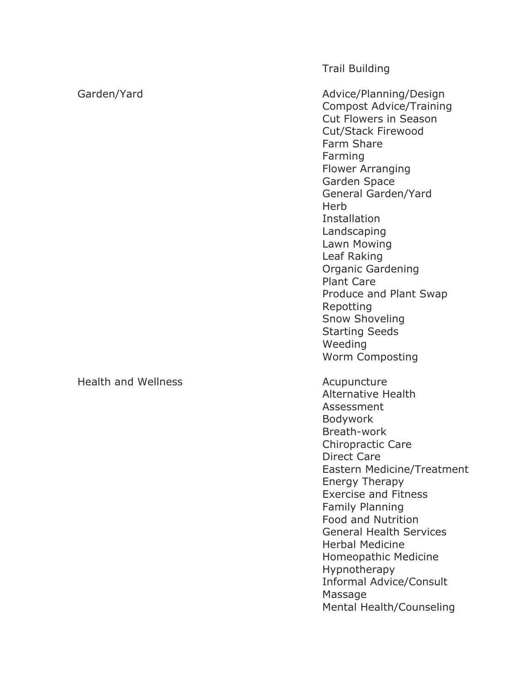Trail Building

Garden/Yard **Advice/Planning/Design** Advice/Planning/Design Compost Advice/Training Cut Flowers in Season Cut/Stack Firewood Farm Share Farming Flower Arranging Garden Space General Garden/Yard **Herb** Installation Landscaping Lawn Mowing Leaf Raking Organic Gardening Plant Care Produce and Plant Swap Repotting Snow Shoveling Starting Seeds Weeding Worm Composting

> Alternative Health Assessment Bodywork Breath -work Chiropractic Care Direct Care Eastern Medicine/Treatment Energy Therapy Exercise and Fitness Family Planning Food and Nutrition General Health Services Herbal Medicine Homeopathic Medicine **Hypnotherapy** Informal Advice/Consult Massage Mental Health/Counseling

Health and Wellness **Acupuncture**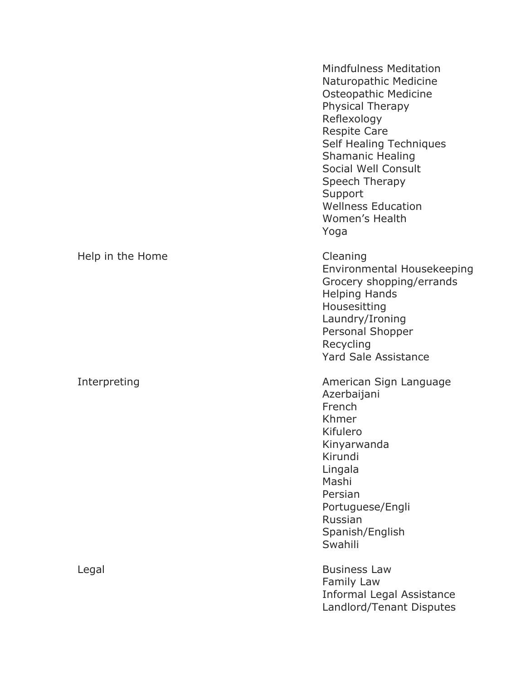|                  | <b>Mindfulness Meditation</b><br>Naturopathic Medicine<br>Osteopathic Medicine<br>Physical Therapy<br>Reflexology<br><b>Respite Care</b><br>Self Healing Techniques<br><b>Shamanic Healing</b><br>Social Well Consult<br>Speech Therapy<br>Support<br><b>Wellness Education</b><br>Women's Health<br>Yoga |
|------------------|-----------------------------------------------------------------------------------------------------------------------------------------------------------------------------------------------------------------------------------------------------------------------------------------------------------|
| Help in the Home | Cleaning<br>Environmental Housekeeping<br>Grocery shopping/errands<br><b>Helping Hands</b><br>Housesitting<br>Laundry/Ironing<br>Personal Shopper<br>Recycling<br><b>Yard Sale Assistance</b>                                                                                                             |
| Interpreting     | American Sign Language<br>Azerbaijani<br>French<br>Khmer<br>Kifulero<br>Kinyarwanda<br>Kirundi<br>Lingala<br>Mashi<br>Persian<br>Portuguese/Engli<br>Russian<br>Spanish/English<br>Swahili                                                                                                                |
| Legal            | <b>Business Law</b><br>Family Law<br><b>Informal Legal Assistance</b><br>Landlord/Tenant Disputes                                                                                                                                                                                                         |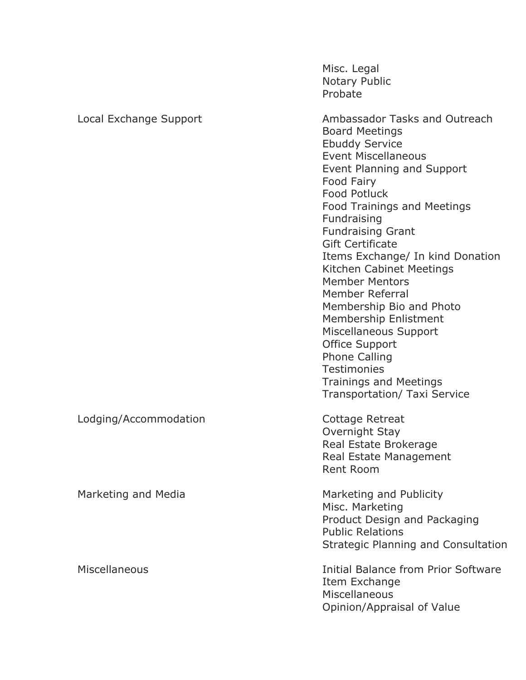|                        | Misc. Legal<br>Notary Public<br>Probate                                                                                                                                                                                                                                                                                                                                                                                                                                                                                                                                                                                        |
|------------------------|--------------------------------------------------------------------------------------------------------------------------------------------------------------------------------------------------------------------------------------------------------------------------------------------------------------------------------------------------------------------------------------------------------------------------------------------------------------------------------------------------------------------------------------------------------------------------------------------------------------------------------|
| Local Exchange Support | Ambassador Tasks and Outreach<br><b>Board Meetings</b><br><b>Ebuddy Service</b><br><b>Event Miscellaneous</b><br>Event Planning and Support<br>Food Fairy<br><b>Food Potluck</b><br><b>Food Trainings and Meetings</b><br>Fundraising<br><b>Fundraising Grant</b><br><b>Gift Certificate</b><br>Items Exchange/ In kind Donation<br>Kitchen Cabinet Meetings<br><b>Member Mentors</b><br>Member Referral<br>Membership Bio and Photo<br>Membership Enlistment<br>Miscellaneous Support<br><b>Office Support</b><br><b>Phone Calling</b><br><b>Testimonies</b><br><b>Trainings and Meetings</b><br>Transportation/ Taxi Service |
| Lodging/Accommodation  | Cottage Retreat<br>Overnight Stay<br>Real Estate Brokerage<br>Real Estate Management<br>Rent Room                                                                                                                                                                                                                                                                                                                                                                                                                                                                                                                              |
| Marketing and Media    | Marketing and Publicity<br>Misc. Marketing<br>Product Design and Packaging<br><b>Public Relations</b><br><b>Strategic Planning and Consultation</b>                                                                                                                                                                                                                                                                                                                                                                                                                                                                            |
| Miscellaneous          | <b>Initial Balance from Prior Software</b><br>Item Exchange<br>Miscellaneous<br>Opinion/Appraisal of Value                                                                                                                                                                                                                                                                                                                                                                                                                                                                                                                     |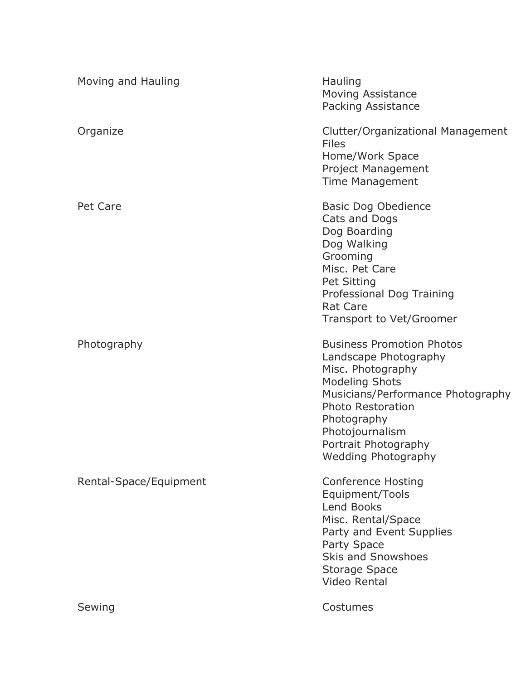| Moving and Hauling     | Hauling<br><b>Moving Assistance</b><br>Packing Assistance                                                                                                                                                                                                        |
|------------------------|------------------------------------------------------------------------------------------------------------------------------------------------------------------------------------------------------------------------------------------------------------------|
| Organize               | Clutter/Organizational Management<br><b>Files</b><br>Home/Work Space<br><b>Project Management</b><br><b>Time Management</b>                                                                                                                                      |
| Pet Care               | <b>Basic Dog Obedience</b><br>Cats and Dogs<br>Dog Boarding<br>Dog Walking<br>Grooming<br>Misc. Pet Care<br>Pet Sitting<br>Professional Dog Training<br><b>Rat Care</b><br><b>Transport to Vet/Groomer</b>                                                       |
| Photography            | <b>Business Promotion Photos</b><br>Landscape Photography<br>Misc. Photography<br><b>Modeling Shots</b><br>Musicians/Performance Photography<br><b>Photo Restoration</b><br>Photography<br>Photojournalism<br>Portrait Photography<br><b>Wedding Photography</b> |
| Rental-Space/Equipment | <b>Conference Hosting</b><br>Equipment/Tools<br><b>Lend Books</b><br>Misc. Rental/Space<br>Party and Event Supplies<br><b>Party Space</b><br><b>Skis and Snowshoes</b><br><b>Storage Space</b><br><b>Video Rental</b>                                            |
| Sewing                 | Costumes                                                                                                                                                                                                                                                         |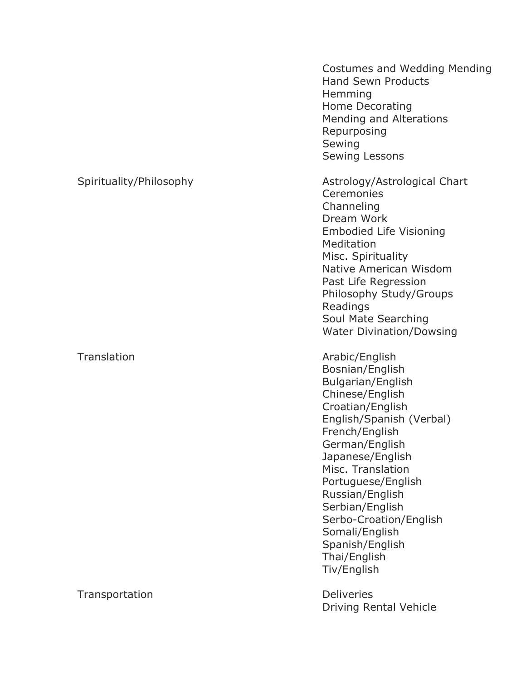|                         | Costumes and Wedding Mending<br><b>Hand Sewn Products</b><br>Hemming<br>Home Decorating<br>Mending and Alterations<br>Repurposing<br>Sewing<br><b>Sewing Lessons</b>                                                                                                                                                                                             |
|-------------------------|------------------------------------------------------------------------------------------------------------------------------------------------------------------------------------------------------------------------------------------------------------------------------------------------------------------------------------------------------------------|
| Spirituality/Philosophy | Astrology/Astrological Chart<br>Ceremonies<br>Channeling<br>Dream Work<br><b>Embodied Life Visioning</b><br>Meditation<br>Misc. Spirituality<br>Native American Wisdom<br>Past Life Regression<br>Philosophy Study/Groups<br>Readings<br>Soul Mate Searching<br><b>Water Divination/Dowsing</b>                                                                  |
| Translation             | Arabic/English<br>Bosnian/English<br>Bulgarian/English<br>Chinese/English<br>Croatian/English<br>English/Spanish (Verbal)<br>French/English<br>German/English<br>Japanese/English<br>Misc. Translation<br>Portuguese/English<br>Russian/English<br>Serbian/English<br>Serbo-Croation/English<br>Somali/English<br>Spanish/English<br>Thai/English<br>Tiv/English |
| Transportation          | <b>Deliveries</b><br>Driving Rental Vehicle                                                                                                                                                                                                                                                                                                                      |